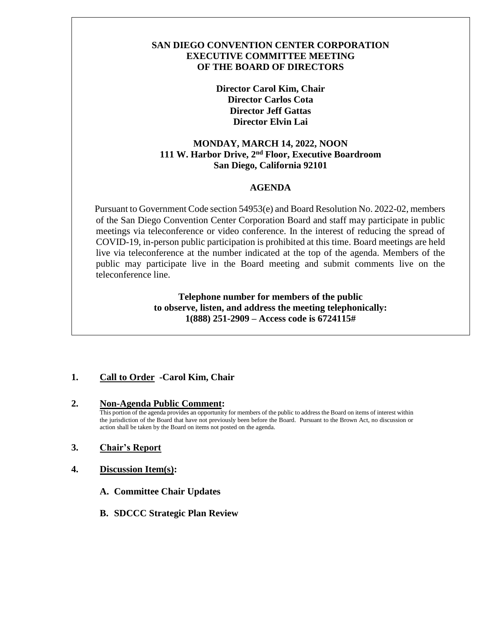### **SAN DIEGO CONVENTION CENTER CORPORATION EXECUTIVE COMMITTEE MEETING OF THE BOARD OF DIRECTORS**

**Director Carol Kim, Chair Director Carlos Cota Director Jeff Gattas Director Elvin Lai**

# **MONDAY, MARCH 14, 2022, NOON 111 W. Harbor Drive, 2nd Floor, Executive Boardroom San Diego, California 92101**

### **AGENDA**

 Pursuant to Government Code section 54953(e) and Board Resolution No. 2022-02, members of the San Diego Convention Center Corporation Board and staff may participate in public meetings via teleconference or video conference. In the interest of reducing the spread of COVID-19, in-person public participation is prohibited at this time. Board meetings are held live via teleconference at the number indicated at the top of the agenda. Members of the public may participate live in the Board meeting and submit comments live on the teleconference line.

> **Telephone number for members of the public to observe, listen, and address the meeting telephonically: 1(888) 251-2909 – Access code is 6724115#**

# **1. Call to Order -Carol Kim, Chair**

### **2. Non-Agenda Public Comment:**

This portion of the agenda provides an opportunity for members of the public to address the Board on items of interest within the jurisdiction of the Board that have not previously been before the Board. Pursuant to the Brown Act, no discussion or action shall be taken by the Board on items not posted on the agenda.

### **3. Chair's Report**

- **4. Discussion Item(s):**
	- **A. Committee Chair Updates**
	- **B. SDCCC Strategic Plan Review**